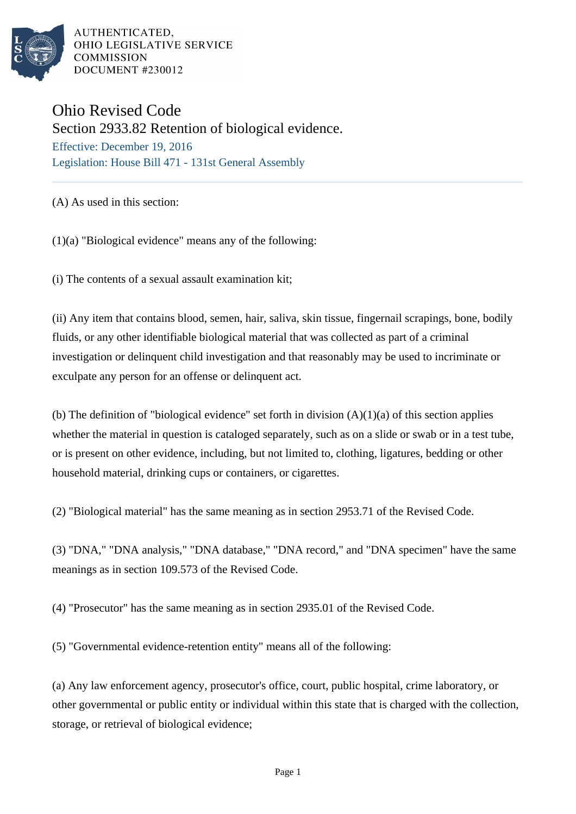

# Ohio Revised Code

Section 2933.82 Retention of biological evidence.

Effective: December 19, 2016 Legislation: House Bill 471 - 131st General Assembly

(A) As used in this section:

(1)(a) "Biological evidence" means any of the following:

(i) The contents of a sexual assault examination kit;

(ii) Any item that contains blood, semen, hair, saliva, skin tissue, fingernail scrapings, bone, bodily fluids, or any other identifiable biological material that was collected as part of a criminal investigation or delinquent child investigation and that reasonably may be used to incriminate or exculpate any person for an offense or delinquent act.

(b) The definition of "biological evidence" set forth in division  $(A)(1)(a)$  of this section applies whether the material in question is cataloged separately, such as on a slide or swab or in a test tube, or is present on other evidence, including, but not limited to, clothing, ligatures, bedding or other household material, drinking cups or containers, or cigarettes.

(2) "Biological material" has the same meaning as in section 2953.71 of the Revised Code.

(3) "DNA," "DNA analysis," "DNA database," "DNA record," and "DNA specimen" have the same meanings as in section 109.573 of the Revised Code.

(4) "Prosecutor" has the same meaning as in section 2935.01 of the Revised Code.

(5) "Governmental evidence-retention entity" means all of the following:

(a) Any law enforcement agency, prosecutor's office, court, public hospital, crime laboratory, or other governmental or public entity or individual within this state that is charged with the collection, storage, or retrieval of biological evidence;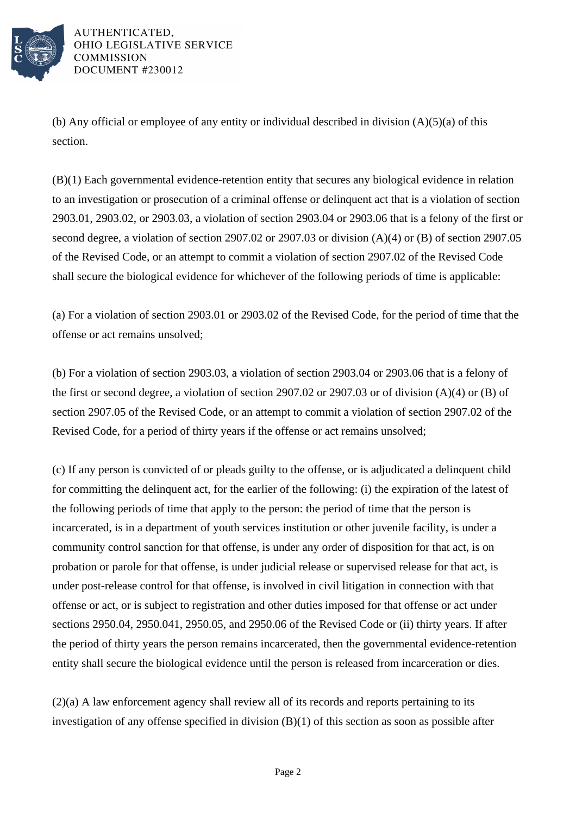

(b) Any official or employee of any entity or individual described in division  $(A)(5)(a)$  of this section.

(B)(1) Each governmental evidence-retention entity that secures any biological evidence in relation to an investigation or prosecution of a criminal offense or delinquent act that is a violation of section 2903.01, 2903.02, or 2903.03, a violation of section 2903.04 or 2903.06 that is a felony of the first or second degree, a violation of section 2907.02 or 2907.03 or division (A)(4) or (B) of section 2907.05 of the Revised Code, or an attempt to commit a violation of section 2907.02 of the Revised Code shall secure the biological evidence for whichever of the following periods of time is applicable:

(a) For a violation of section 2903.01 or 2903.02 of the Revised Code, for the period of time that the offense or act remains unsolved;

(b) For a violation of section 2903.03, a violation of section 2903.04 or 2903.06 that is a felony of the first or second degree, a violation of section 2907.02 or 2907.03 or of division (A)(4) or (B) of section 2907.05 of the Revised Code, or an attempt to commit a violation of section 2907.02 of the Revised Code, for a period of thirty years if the offense or act remains unsolved;

(c) If any person is convicted of or pleads guilty to the offense, or is adjudicated a delinquent child for committing the delinquent act, for the earlier of the following: (i) the expiration of the latest of the following periods of time that apply to the person: the period of time that the person is incarcerated, is in a department of youth services institution or other juvenile facility, is under a community control sanction for that offense, is under any order of disposition for that act, is on probation or parole for that offense, is under judicial release or supervised release for that act, is under post-release control for that offense, is involved in civil litigation in connection with that offense or act, or is subject to registration and other duties imposed for that offense or act under sections 2950.04, 2950.041, 2950.05, and 2950.06 of the Revised Code or (ii) thirty years. If after the period of thirty years the person remains incarcerated, then the governmental evidence-retention entity shall secure the biological evidence until the person is released from incarceration or dies.

(2)(a) A law enforcement agency shall review all of its records and reports pertaining to its investigation of any offense specified in division (B)(1) of this section as soon as possible after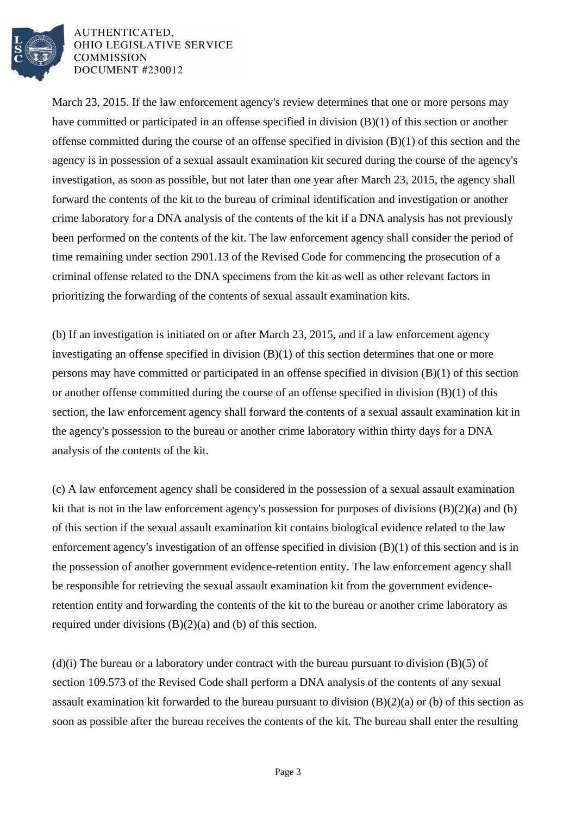

March 23, 2015. If the law enforcement agency's review determines that one or more persons may have committed or participated in an offense specified in division (B)(1) of this section or another offense committed during the course of an offense specified in division (B)(1) of this section and the agency is in possession of a sexual assault examination kit secured during the course of the agency's investigation, as soon as possible, but not later than one year after March 23, 2015, the agency shall forward the contents of the kit to the bureau of criminal identification and investigation or another crime laboratory for a DNA analysis of the contents of the kit if a DNA analysis has not previously been performed on the contents of the kit. The law enforcement agency shall consider the period of time remaining under section 2901.13 of the Revised Code for commencing the prosecution of a criminal offense related to the DNA specimens from the kit as well as other relevant factors in prioritizing the forwarding of the contents of sexual assault examination kits.

(b) If an investigation is initiated on or after March 23, 2015, and if a law enforcement agency investigating an offense specified in division (B)(1) of this section determines that one or more persons may have committed or participated in an offense specified in division (B)(1) of this section or another offense committed during the course of an offense specified in division (B)(1) of this section, the law enforcement agency shall forward the contents of a sexual assault examination kit in the agency's possession to the bureau or another crime laboratory within thirty days for a DNA analysis of the contents of the kit.

(c) A law enforcement agency shall be considered in the possession of a sexual assault examination kit that is not in the law enforcement agency's possession for purposes of divisions (B)(2)(a) and (b) of this section if the sexual assault examination kit contains biological evidence related to the law enforcement agency's investigation of an offense specified in division (B)(1) of this section and is in the possession of another government evidence-retention entity. The law enforcement agency shall be responsible for retrieving the sexual assault examination kit from the government evidenceretention entity and forwarding the contents of the kit to the bureau or another crime laboratory as required under divisions (B)(2)(a) and (b) of this section.

(d)(i) The bureau or a laboratory under contract with the bureau pursuant to division  $(B)(5)$  of section 109.573 of the Revised Code shall perform a DNA analysis of the contents of any sexual assault examination kit forwarded to the bureau pursuant to division  $(B)(2)(a)$  or (b) of this section as soon as possible after the bureau receives the contents of the kit. The bureau shall enter the resulting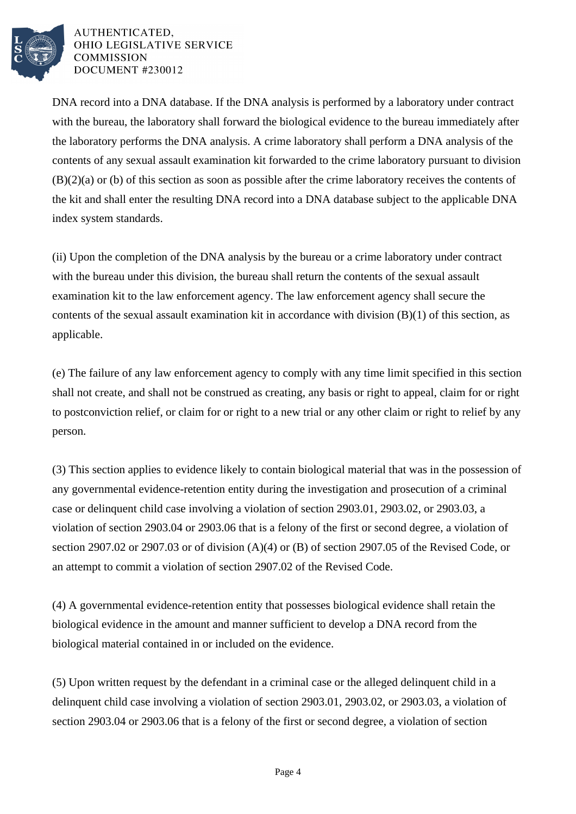

DNA record into a DNA database. If the DNA analysis is performed by a laboratory under contract with the bureau, the laboratory shall forward the biological evidence to the bureau immediately after the laboratory performs the DNA analysis. A crime laboratory shall perform a DNA analysis of the contents of any sexual assault examination kit forwarded to the crime laboratory pursuant to division (B)(2)(a) or (b) of this section as soon as possible after the crime laboratory receives the contents of the kit and shall enter the resulting DNA record into a DNA database subject to the applicable DNA index system standards.

(ii) Upon the completion of the DNA analysis by the bureau or a crime laboratory under contract with the bureau under this division, the bureau shall return the contents of the sexual assault examination kit to the law enforcement agency. The law enforcement agency shall secure the contents of the sexual assault examination kit in accordance with division  $(B)(1)$  of this section, as applicable.

(e) The failure of any law enforcement agency to comply with any time limit specified in this section shall not create, and shall not be construed as creating, any basis or right to appeal, claim for or right to postconviction relief, or claim for or right to a new trial or any other claim or right to relief by any person.

(3) This section applies to evidence likely to contain biological material that was in the possession of any governmental evidence-retention entity during the investigation and prosecution of a criminal case or delinquent child case involving a violation of section 2903.01, 2903.02, or 2903.03, a violation of section 2903.04 or 2903.06 that is a felony of the first or second degree, a violation of section 2907.02 or 2907.03 or of division (A)(4) or (B) of section 2907.05 of the Revised Code, or an attempt to commit a violation of section 2907.02 of the Revised Code.

(4) A governmental evidence-retention entity that possesses biological evidence shall retain the biological evidence in the amount and manner sufficient to develop a DNA record from the biological material contained in or included on the evidence.

(5) Upon written request by the defendant in a criminal case or the alleged delinquent child in a delinquent child case involving a violation of section 2903.01, 2903.02, or 2903.03, a violation of section 2903.04 or 2903.06 that is a felony of the first or second degree, a violation of section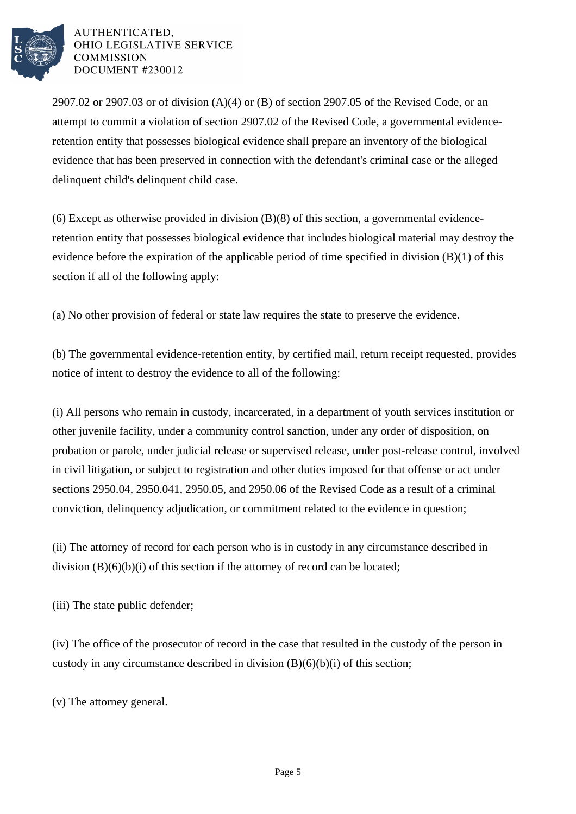

2907.02 or 2907.03 or of division  $(A)(4)$  or  $(B)$  of section 2907.05 of the Revised Code, or an attempt to commit a violation of section 2907.02 of the Revised Code, a governmental evidenceretention entity that possesses biological evidence shall prepare an inventory of the biological evidence that has been preserved in connection with the defendant's criminal case or the alleged delinquent child's delinquent child case.

(6) Except as otherwise provided in division (B)(8) of this section, a governmental evidenceretention entity that possesses biological evidence that includes biological material may destroy the evidence before the expiration of the applicable period of time specified in division  $(B)(1)$  of this section if all of the following apply:

(a) No other provision of federal or state law requires the state to preserve the evidence.

(b) The governmental evidence-retention entity, by certified mail, return receipt requested, provides notice of intent to destroy the evidence to all of the following:

(i) All persons who remain in custody, incarcerated, in a department of youth services institution or other juvenile facility, under a community control sanction, under any order of disposition, on probation or parole, under judicial release or supervised release, under post-release control, involved in civil litigation, or subject to registration and other duties imposed for that offense or act under sections 2950.04, 2950.041, 2950.05, and 2950.06 of the Revised Code as a result of a criminal conviction, delinquency adjudication, or commitment related to the evidence in question;

(ii) The attorney of record for each person who is in custody in any circumstance described in division  $(B)(6)(b)(i)$  of this section if the attorney of record can be located;

(iii) The state public defender;

(iv) The office of the prosecutor of record in the case that resulted in the custody of the person in custody in any circumstance described in division (B)(6)(b)(i) of this section;

(v) The attorney general.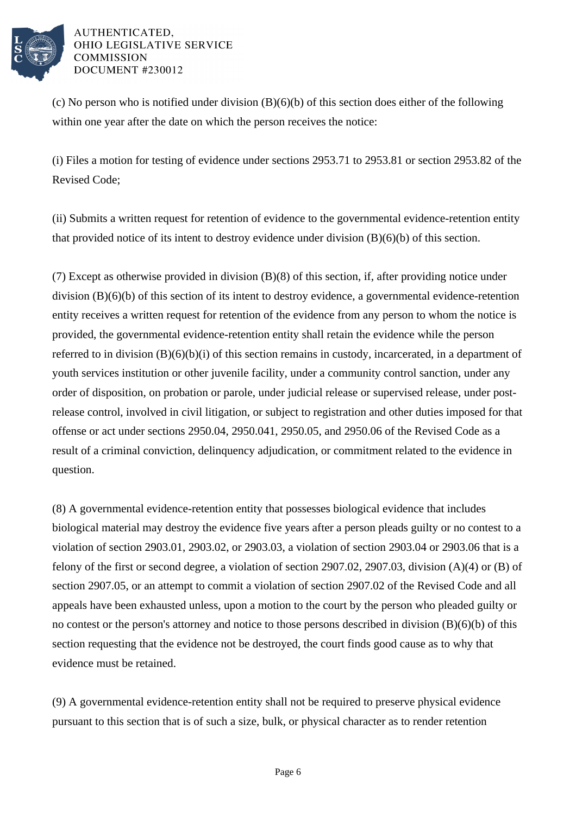

(c) No person who is notified under division (B)(6)(b) of this section does either of the following within one year after the date on which the person receives the notice:

(i) Files a motion for testing of evidence under sections 2953.71 to 2953.81 or section 2953.82 of the Revised Code;

(ii) Submits a written request for retention of evidence to the governmental evidence-retention entity that provided notice of its intent to destroy evidence under division (B)(6)(b) of this section.

(7) Except as otherwise provided in division (B)(8) of this section, if, after providing notice under division (B)(6)(b) of this section of its intent to destroy evidence, a governmental evidence-retention entity receives a written request for retention of the evidence from any person to whom the notice is provided, the governmental evidence-retention entity shall retain the evidence while the person referred to in division (B)(6)(b)(i) of this section remains in custody, incarcerated, in a department of youth services institution or other juvenile facility, under a community control sanction, under any order of disposition, on probation or parole, under judicial release or supervised release, under postrelease control, involved in civil litigation, or subject to registration and other duties imposed for that offense or act under sections 2950.04, 2950.041, 2950.05, and 2950.06 of the Revised Code as a result of a criminal conviction, delinquency adjudication, or commitment related to the evidence in question.

(8) A governmental evidence-retention entity that possesses biological evidence that includes biological material may destroy the evidence five years after a person pleads guilty or no contest to a violation of section 2903.01, 2903.02, or 2903.03, a violation of section 2903.04 or 2903.06 that is a felony of the first or second degree, a violation of section 2907.02, 2907.03, division (A)(4) or (B) of section 2907.05, or an attempt to commit a violation of section 2907.02 of the Revised Code and all appeals have been exhausted unless, upon a motion to the court by the person who pleaded guilty or no contest or the person's attorney and notice to those persons described in division (B)(6)(b) of this section requesting that the evidence not be destroyed, the court finds good cause as to why that evidence must be retained.

(9) A governmental evidence-retention entity shall not be required to preserve physical evidence pursuant to this section that is of such a size, bulk, or physical character as to render retention